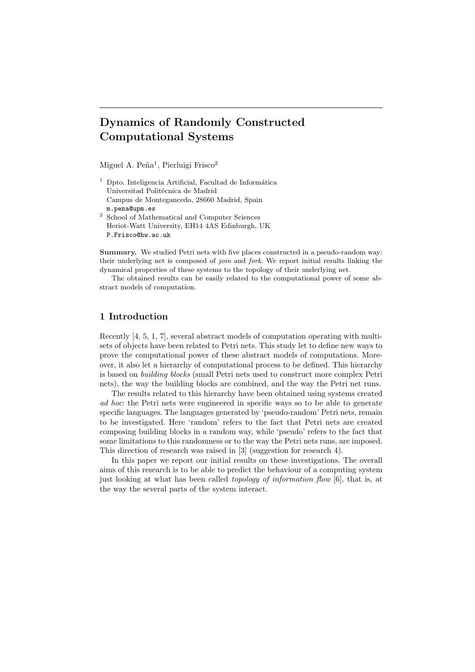# Dynamics of Randomly Constructed Computational Systems

Miguel A. Peña<sup>1</sup>, Pierluigi Frisco<sup>2</sup>

- $1$  Dpto. Inteligencia Artificial, Facultad de Informática Universitad Politécnica de Madrid Campus de Montegancedo, 28660 Madrid, Spain m.pena@upm.es <sup>2</sup> School of Mathematical and Computer Sciences
- Heriot-Watt University, EH14 4AS Edinburgh, UK P.Frisco@hw.ac.uk

Summary. We studied Petri nets with five places constructed in a pseudo-random way: their underlying net is composed of *join* and *fork*. We report initial results linking the dynamical properties of these systems to the topology of their underlying net.

The obtained results can be easily related to the computational power of some abstract models of computation.

## 1 Introduction

Recently [4, 5, 1, 7], several abstract models of computation operating with multisets of objects have been related to Petri nets. This study let to define new ways to prove the computational power of these abstract models of computations. Moreover, it also let a hierarchy of computational process to be defined. This hierarchy is based on building blocks (small Petri nets used to construct more complex Petri nets), the way the building blocks are combined, and the way the Petri net runs.

The results related to this hierarchy have been obtained using systems created ad hoc: the Petri nets were engineered in specific ways so to be able to generate specific languages. The languages generated by 'pseudo-random' Petri nets, remain to be investigated. Here 'random' refers to the fact that Petri nets are created composing building blocks in a random way, while 'pseudo' refers to the fact that some limitations to this randomness or to the way the Petri nets runs, are imposed. This direction of research was raised in [3] (suggestion for research 4).

In this paper we report our initial results on these investigations. The overall aims of this research is to be able to predict the behaviour of a computing system just looking at what has been called topology of information flow [6], that is, at the way the several parts of the system interact.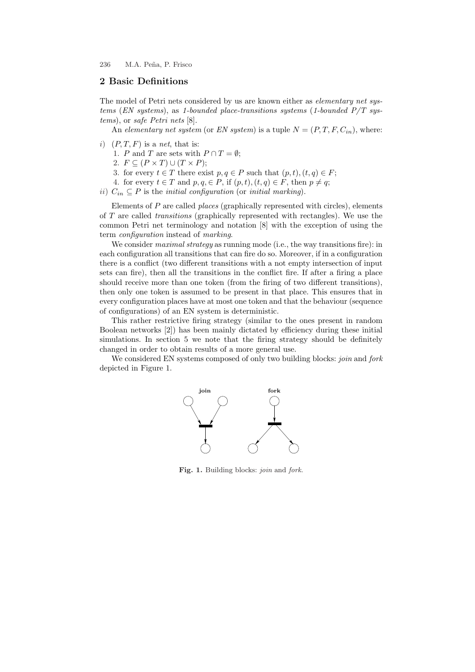# 2 Basic Definitions

The model of Petri nets considered by us are known either as *elementary net sys*tems (EN systems), as 1-bounded place-transitions systems (1-bounded  $P/T$  systems), or safe Petri nets [8].

An elementary net system (or EN system) is a tuple  $N = (P, T, F, C<sub>in</sub>)$ , where:

i)  $(P, T, F)$  is a net, that is:

1. P and T are sets with  $P \cap T = \emptyset$ ;

- 2.  $F \subseteq (P \times T) \cup (T \times P);$
- 3. for every  $t \in T$  there exist  $p, q \in P$  such that  $(p, t), (t, q) \in F$ ;
- 4. for every  $t \in T$  and  $p, q \in P$ , if  $(p, t), (t, q) \in F$ , then  $p \neq q$ ;
- ii)  $C_{in} \subseteq P$  is the *initial configuration* (or *initial marking*).

Elements of  $P$  are called  $places$  (graphically represented with circles), elements of T are called transitions (graphically represented with rectangles). We use the common Petri net terminology and notation [8] with the exception of using the term configuration instead of marking.

We consider *maximal strategy* as running mode (i.e., the way transitions fire): in each configuration all transitions that can fire do so. Moreover, if in a configuration there is a conflict (two different transitions with a not empty intersection of input sets can fire), then all the transitions in the conflict fire. If after a firing a place should receive more than one token (from the firing of two different transitions), then only one token is assumed to be present in that place. This ensures that in every configuration places have at most one token and that the behaviour (sequence of configurations) of an EN system is deterministic.

This rather restrictive firing strategy (similar to the ones present in random Boolean networks [2]) has been mainly dictated by efficiency during these initial simulations. In section 5 we note that the firing strategy should be definitely changed in order to obtain results of a more general use.

We considered EN systems composed of only two building blocks: join and fork depicted in Figure 1.



Fig. 1. Building blocks: join and fork.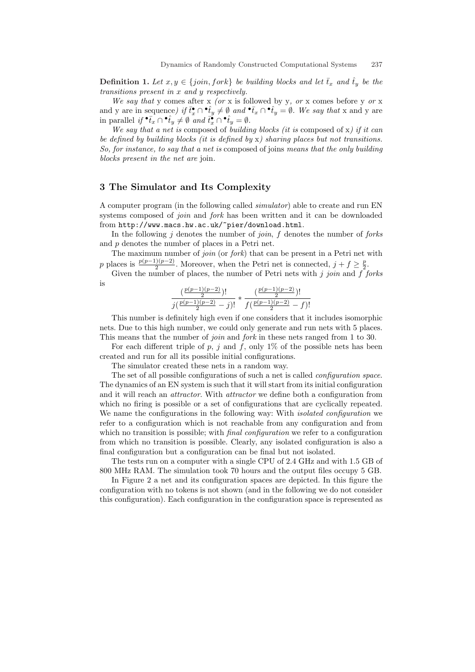**Definition 1.** Let  $x, y \in \{join, fork\}$  be building blocks and let  $\overline{t}_x$  and  $\hat{t}_y$  be the transitions present in x and y respectively.

We say that y comes after x (or x is followed by y, or x comes before y or x and y are in sequence) if  $\bar{t}_x \cap \hat{t}_y \neq \emptyset$  and  $\hat{t}_x \cap \hat{t}_y = \emptyset$ . We say that x and y are in parallel if  ${}^{\bullet} \bar{t}_x \cap {}^{\bullet} \hat{t}_y \neq \emptyset$  and  $\bar{t}_x^{\bullet} \cap {}^{\bullet} \hat{t}_y = \emptyset$ .

We say that a net is composed of building blocks (it is composed of  $x$ ) if it can be defined by building blocks (it is defined by  $x$ ) sharing places but not transitions. So, for instance, to say that a net is composed of joins means that the only building blocks present in the net are join.

## 3 The Simulator and Its Complexity

A computer program (in the following called simulator) able to create and run EN systems composed of *join* and *fork* has been written and it can be downloaded from http://www.macs.hw.ac.uk/~pier/download.html.

In the following j denotes the number of join,  $f$  denotes the number of forks and p denotes the number of places in a Petri net.

The maximum number of *join* (or *fork*) that can be present in a Petri net with p places is  $\frac{p(p-1)(p-2)}{2}$ . Moreover, when the Petri net is connected,  $j + f \geq \frac{p}{2}$ .

Given the number of places, the number of Petri nets with j join and  $f$  forks is

$$
\frac{\left(\frac{p(p-1)(p-2)}{2}\right)!}{j\left(\frac{p(p-1)(p-2)}{2}-j\right)!}*\frac{\left(\frac{p(p-1)(p-2)}{2}\right)!}{f\left(\frac{p(p-1)(p-2)}{2}-f\right)!}
$$

This number is definitely high even if one considers that it includes isomorphic nets. Due to this high number, we could only generate and run nets with 5 places. This means that the number of *join* and *fork* in these nets ranged from 1 to 30.

For each different triple of p, j and f, only  $1\%$  of the possible nets has been created and run for all its possible initial configurations.

The simulator created these nets in a random way.

The set of all possible configurations of such a net is called configuration space. The dynamics of an EN system is such that it will start from its initial configuration and it will reach an *attractor*. With *attractor* we define both a configuration from which no firing is possible or a set of configurations that are cyclically repeated. We name the configurations in the following way: With *isolated configuration* we refer to a configuration which is not reachable from any configuration and from which no transition is possible; with *final configuration* we refer to a configuration from which no transition is possible. Clearly, any isolated configuration is also a final configuration but a configuration can be final but not isolated.

The tests run on a computer with a single CPU of 2.4 GHz and with 1.5 GB of 800 MHz RAM. The simulation took 70 hours and the output files occupy 5 GB.

In Figure 2 a net and its configuration spaces are depicted. In this figure the configuration with no tokens is not shown (and in the following we do not consider this configuration). Each configuration in the configuration space is represented as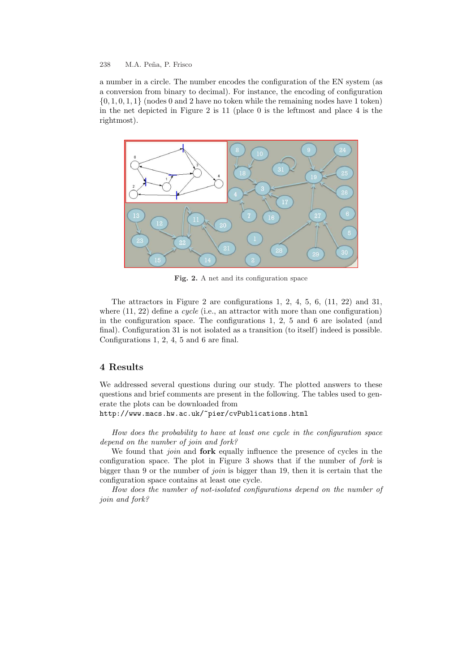a number in a circle. The number encodes the configuration of the EN system (as a conversion from binary to decimal). For instance, the encoding of configuration  $\{0, 1, 0, 1, 1\}$  (nodes 0 and 2 have no token while the remaining nodes have 1 token) in the net depicted in Figure 2 is 11 (place 0 is the leftmost and place 4 is the rightmost).



Fig. 2. A net and its configuration space

The attractors in Figure 2 are configurations 1, 2, 4, 5, 6, (11, 22) and 31, where  $(11, 22)$  define a *cycle* (i.e., an attractor with more than one configuration) in the configuration space. The configurations 1, 2, 5 and 6 are isolated (and final). Configuration 31 is not isolated as a transition (to itself) indeed is possible. Configurations 1, 2, 4, 5 and 6 are final.

## 4 Results

We addressed several questions during our study. The plotted answers to these questions and brief comments are present in the following. The tables used to generate the plots can be downloaded from

http://www.macs.hw.ac.uk/~pier/cvPublications.html

How does the probability to have at least one cycle in the configuration space depend on the number of join and fork?

We found that *join* and **fork** equally influence the presence of cycles in the configuration space. The plot in Figure 3 shows that if the number of fork is bigger than 9 or the number of *join* is bigger than 19, then it is certain that the configuration space contains at least one cycle.

How does the number of not-isolated configurations depend on the number of join and fork?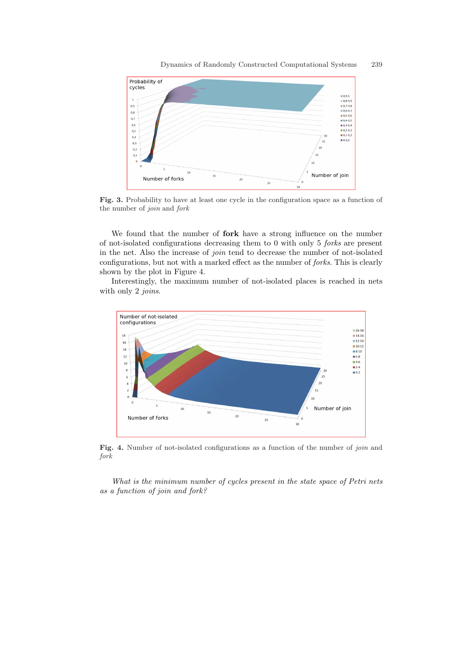

Fig. 3. Probability to have at least one cycle in the configuration space as a function of the number of join and fork

We found that the number of fork have a strong influence on the number of not-isolated configurations decreasing them to 0 with only 5 forks are present in the net. Also the increase of join tend to decrease the number of not-isolated configurations, but not with a marked effect as the number of forks. This is clearly shown by the plot in Figure 4.

Interestingly, the maximum number of not-isolated places is reached in nets with only 2 *joins*.



Fig. 4. Number of not-isolated configurations as a function of the number of join and fork

What is the minimum number of cycles present in the state space of Petri nets as a function of join and fork?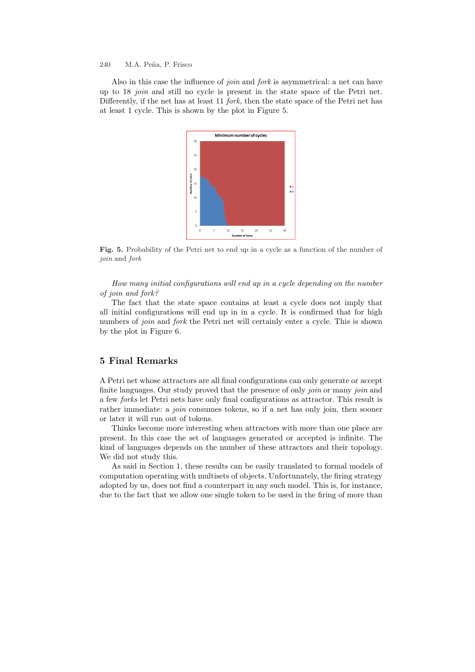Also in this case the influence of *join* and *fork* is asymmetrical: a net can have up to 18 join and still no cycle is present in the state space of the Petri net. Differently, if the net has at least 11 *fork*, then the state space of the Petri net has at least 1 cycle. This is shown by the plot in Figure 5.



Fig. 5. Probability of the Petri net to end up in a cycle as a function of the number of join and fork

How many initial configurations will end up in a cycle depending on the number of join and fork?

The fact that the state space contains at least a cycle does not imply that all initial configurations will end up in in a cycle. It is confirmed that for high numbers of *join* and *fork* the Petri net will certainly enter a cycle. This is shown by the plot in Figure 6.

## 5 Final Remarks

A Petri net whose attractors are all final configurations can only generate or accept finite languages. Our study proved that the presence of only *join* or many *join* and a few forks let Petri nets have only final configurations as attractor. This result is rather immediate: a *join* consumes tokens, so if a net has only join, then sooner or later it will run out of tokens.

Thinks become more interesting when attractors with more than one place are present. In this case the set of languages generated or accepted is infinite. The kind of languages depends on the number of these attractors and their topology. We did not study this.

As said in Section 1, these results can be easily translated to formal models of computation operating with multisets of objects. Unfortunately, the firing strategy adopted by us, does not find a counterpart in any such model. This is, for instance, due to the fact that we allow one single token to be used in the firing of more than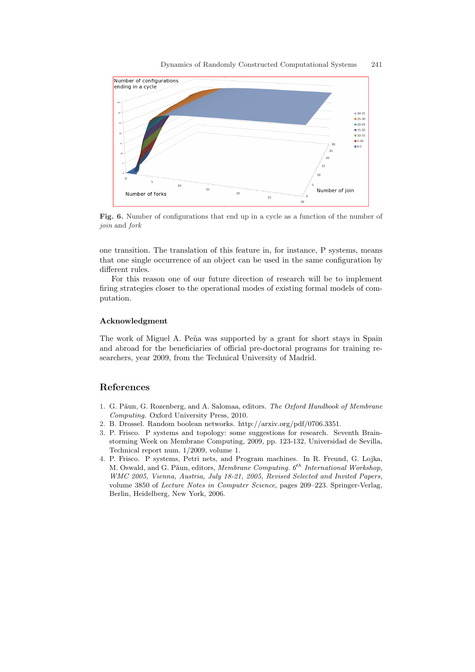

Fig. 6. Number of configurations that end up in a cycle as a function of the number of join and fork

one transition. The translation of this feature in, for instance, P systems, means that one single occurrence of an object can be used in the same configuration by different rules.

For this reason one of our future direction of research will be to implement firing strategies closer to the operational modes of existing formal models of computation.

#### Acknowledgment

The work of Miguel A. Peña was supported by a grant for short stays in Spain and abroad for the beneficiaries of official pre-doctoral programs for training researchers, year 2009, from the Technical University of Madrid.

# References

- 1. G. Păun, G. Rozenberg, and A. Salomaa, editors. The Oxford Handbook of Membrane Computing. Oxford University Press, 2010.
- 2. B. Drossel. Random boolean networks. http://arxiv.org/pdf/0706.3351.
- 3. P. Frisco. P systems and topology: some suggestions for research. Seventh Brainstorming Week on Membrane Computing, 2009, pp. 123-132, Universidad de Sevilla, Technical report num. 1/2009, volume 1.
- 4. P. Frisco. P systems, Petri nets, and Program machines. In R. Freund, G. Lojka, M. Oswald, and G. Păun, editors, Membrane Computing.  $6^{th}$  International Workshop, WMC 2005, Vienna, Austria, July 18-21, 2005, Revised Selected and Invited Papers, volume 3850 of Lecture Notes in Computer Science, pages 209–223. Springer-Verlag, Berlin, Heidelberg, New York, 2006.